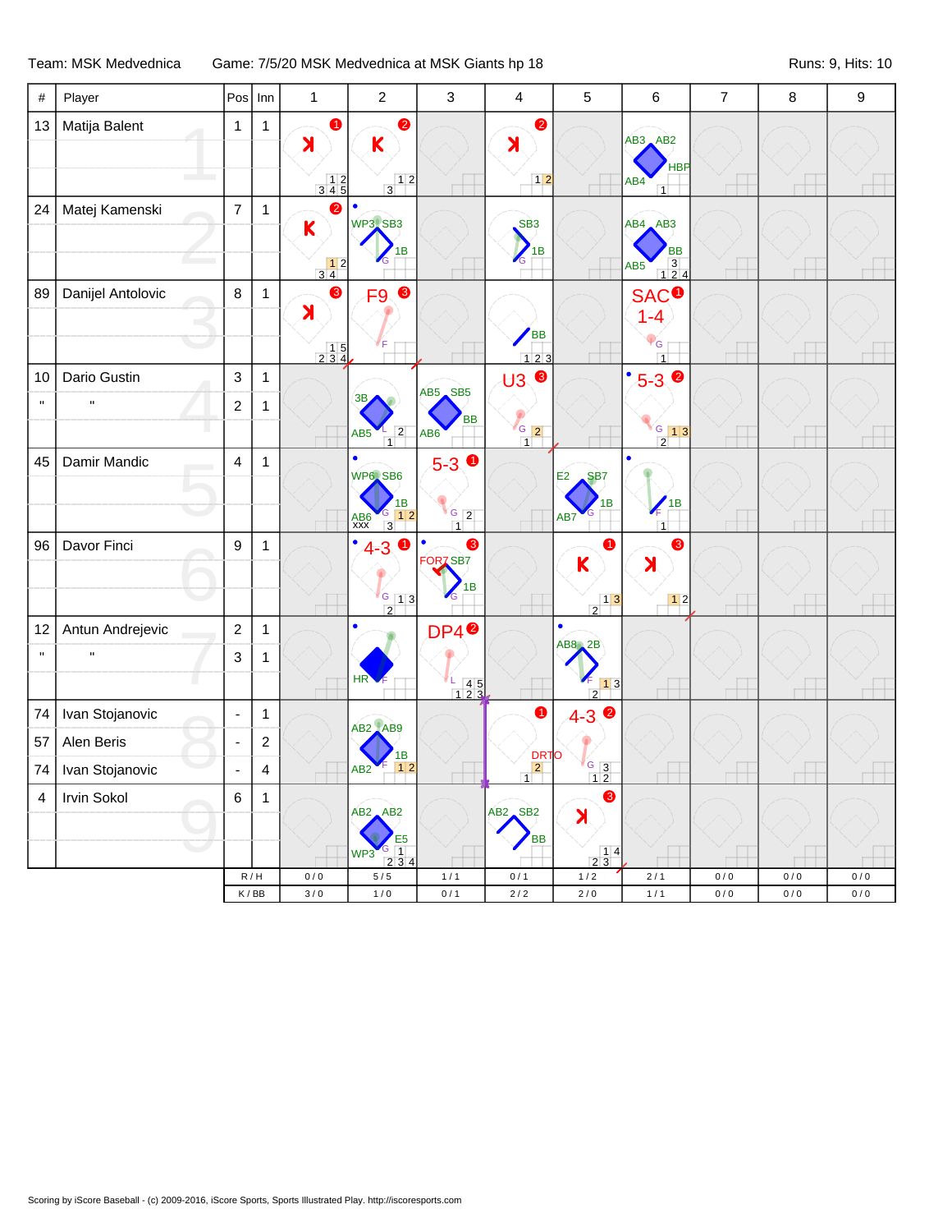## Team: MSK Medvednica Game: 7/5/20 MSK Medvednica at MSK Giants hp 18 Runs: 0, Hits: 10

| $\#$               | Player            | Pos            | Inn            | $\mathbf{1}$                                                     | $\overline{2}$                                  | 3                                                  | $\overline{\mathbf{4}}$ | 5                                               | 6                                             | $\overline{7}$ | 8   | 9         |
|--------------------|-------------------|----------------|----------------|------------------------------------------------------------------|-------------------------------------------------|----------------------------------------------------|-------------------------|-------------------------------------------------|-----------------------------------------------|----------------|-----|-----------|
| 13                 | Matija Balent     | $\mathbf{1}$   | $\mathbf{1}$   | $\bullet$                                                        | $\bullet$                                       |                                                    | $\bullet$               |                                                 |                                               |                |     |           |
|                    |                   |                |                | $\blacktriangleright$                                            | K                                               |                                                    | $\blacktriangleright$   |                                                 | $AB3$ $AB2$                                   |                |     |           |
|                    |                   |                |                | $\begin{array}{c} 12 \\ 345 \end{array}$                         | $\frac{12}{3}$                                  |                                                    | $1\overline{2}$         |                                                 | <b>HBP</b><br>AB4<br>$\overline{1}$           |                |     |           |
| 24                 | Matej Kamenski    | $\overline{7}$ | $\mathbf{1}$   | 2                                                                | $\bullet$                                       |                                                    |                         |                                                 |                                               |                |     |           |
|                    |                   |                |                | $\mathsf K$                                                      | WP3.SB3                                         |                                                    | S <sub>B3</sub>         |                                                 | $AB4$ $AB3$                                   |                |     |           |
|                    |                   |                |                |                                                                  | 1B                                              |                                                    | 1B<br><b>ZG</b>         |                                                 | <b>BB</b><br>AB <sub>5</sub>                  |                |     |           |
|                    |                   |                |                | $\begin{array}{c c} & 1 & 2 \\ 3 & 4 & \end{array}$<br>$\bullet$ |                                                 |                                                    |                         |                                                 | $\begin{array}{c} 3 \\ 1 \ 2 \ 4 \end{array}$ |                |     |           |
| 89                 | Danijel Antolovic | $\,8\,$        | $\mathbf{1}$   | $\blacktriangleright$                                            | $\bullet$<br>F9                                 |                                                    |                         |                                                 | <b>SAC<sup>O</sup></b><br>$1 - 4$             |                |     |           |
|                    |                   |                |                |                                                                  |                                                 |                                                    | <b>BB</b>               |                                                 |                                               |                |     |           |
|                    |                   |                |                | $\begin{array}{c} 15 \\ 234 \end{array}$                         |                                                 |                                                    | $123$                   |                                                 | G<br>$\overline{1}$                           |                |     |           |
| 10                 | Dario Gustin      | $\sqrt{3}$     | $\mathbf{1}$   |                                                                  |                                                 |                                                    | <b>U3 €</b>             |                                                 | $^{\bullet}5-3$                               |                |     |           |
| $\pmb{\mathsf{H}}$ | $\mathbf{u}$      | $\overline{c}$ | 1              |                                                                  | 3B                                              | AB5 SB5                                            |                         |                                                 |                                               |                |     |           |
|                    |                   |                |                |                                                                  | $\sqrt{2}$<br>AB <sub>5</sub><br>$\overline{1}$ | BB<br>AB <sub>6</sub>                              | $\sqrt{6}$ 2<br>1       |                                                 | $\frac{6}{2}$ 13                              |                |     |           |
| 45                 | Damir Mandic      | 4              | $\mathbf{1}$   |                                                                  | $\bullet$                                       | $5 - 3$ 0                                          |                         |                                                 | $\bullet$                                     |                |     |           |
|                    |                   |                |                |                                                                  | WP6, SB6                                        |                                                    |                         | E2<br>SB <sub>7</sub>                           |                                               |                |     |           |
|                    |                   |                |                |                                                                  | 1B<br>12                                        | $G_{2}$                                            |                         | 1B                                              | 1B                                            |                |     |           |
|                    |                   |                |                |                                                                  | $AB6$<br>$XXX$<br>$\overline{3}$                | 1                                                  |                         | AB7                                             | $\overline{1}$                                |                |     |           |
| 96                 | Davor Finci       | 9              | $\mathbf{1}$   |                                                                  | $\bullet$<br>$4-3$ 0                            | 8<br>$\bullet$<br>FOR <sub>Z</sub> SB <sub>7</sub> |                         | 1<br>K                                          | ❸<br>$\blacktriangleright$                    |                |     |           |
|                    |                   |                |                |                                                                  |                                                 | 1B                                                 |                         |                                                 |                                               |                |     |           |
|                    |                   |                |                |                                                                  | $\sqrt{G}$ [1] 3<br>$\overline{2}$              |                                                    |                         | $\frac{1}{2}$                                   |                                               |                |     |           |
| 12                 | Antun Andrejevic  | $\sqrt{2}$     | $\mathbf{1}$   |                                                                  | $\bullet$                                       | DP4 <sup>0</sup>                                   |                         | $\bullet$                                       |                                               |                |     |           |
| $\mathbf{H}$       |                   | 3              | $\mathbf{1}$   |                                                                  |                                                 |                                                    |                         | AB8, 2B                                         |                                               |                |     |           |
|                    |                   |                |                |                                                                  | HR                                              | $\frac{1}{1}$ 4 5                                  |                         | $13$                                            |                                               |                |     |           |
| 74                 | Ivan Stojanovic   | ÷,             | $\mathbf{1}$   |                                                                  |                                                 |                                                    | $\bullet$               | $\overline{2}$<br>$4 - 3$                       |                                               |                |     |           |
| 57                 | Alen Beris        | ÷,             | $\overline{c}$ |                                                                  | AB2 AB9                                         |                                                    |                         |                                                 |                                               |                |     |           |
|                    |                   |                |                |                                                                  | 1B                                              |                                                    | DRTO<br>2               |                                                 |                                               |                |     |           |
| 74                 | Ivan Stojanovic   | ÷,             | 4              |                                                                  | 12<br>AB <sub>2</sub>                           |                                                    | $\overline{1}$          | $\frac{G}{1}$ $\frac{3}{2}$                     |                                               |                |     |           |
| 4                  | Irvin Sokol       | 6              | $\mathbf{1}$   |                                                                  | $AB2$ $AB2$                                     |                                                    | $AB2$ SB <sub>2</sub>   | 8<br>$\blacktriangleright$                      |                                               |                |     |           |
|                    |                   |                |                |                                                                  | E <sub>5</sub>                                  |                                                    | BB                      |                                                 |                                               |                |     |           |
|                    |                   |                |                |                                                                  | G<br>$\overline{1}$<br>WP3<br>2 3 4             |                                                    |                         | $\begin{array}{c c} 1 & 4 \\ 2 & 3 \end{array}$ |                                               |                |     |           |
|                    |                   |                | R/H            | 0/0                                                              | $5/5$                                           | 1/1                                                | 0/1                     | 1/2                                             | 2/1                                           | 0/0            | 0/0 | $0\,/\,0$ |
|                    |                   |                | K/BB           | $3/0$                                                            | 1/0                                             | 0/1                                                | $2/2$                   | $2/0$                                           | $1/1$                                         | $0/0$          | 0/0 | 0/0       |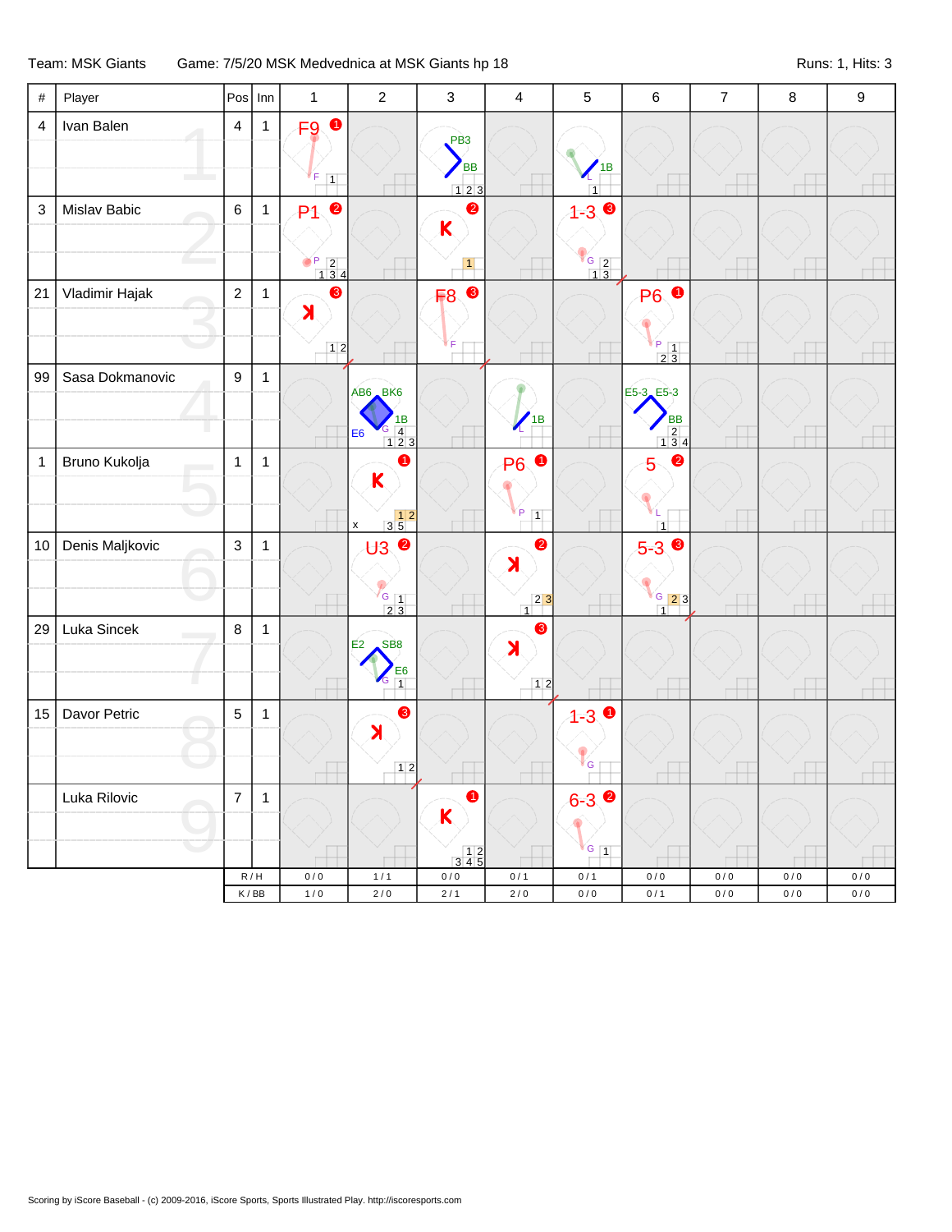## Team: MSK Giants Game: 7/5/20 MSK Medvednica at MSK Giants hp 18 Material Controllers and Suns: 1, Hits: 3

| F <sub>9</sub> O<br>Ivan Balen<br>$\overline{4}$<br>$\mathbf{1}$<br>$\overline{4}$<br>PB <sub>3</sub><br><b>BB</b><br>1B<br>$\vert$ 1<br>123<br>$\overline{1}$<br>$1 - 3$<br>$\ensuremath{\mathsf{3}}$<br>Mislav Babic<br>$\,6\,$<br>$\bullet$<br>$\bullet$<br>$\mathbf{1}$<br>P <sub>1</sub><br>K<br>$\begin{array}{c}\n \begin{array}{c}\n \text{G} \\  13\n \end{array}\n \end{array}$<br>$\begin{array}{c c} \mathsf{P} & 2 \\ \hline & 1 & 3 & 4 \end{array}$<br>$\vert$ 1<br>❸<br>Vladimir Hajak<br>❸<br>21<br>$\overline{2}$<br>F <sub>8</sub><br><b>P6</b><br>$\bullet$<br>$\mathbf{1}$<br>$\lambda$<br>$\frac{P}{2}$ $\frac{1}{3}$<br>$12$<br>F<br>99<br>Sasa Dokmanovic<br>9<br>$\mathbf{1}$<br>AB6 BK6<br>E5-3 E5-3<br>'1B<br><b>BB</b><br>1В<br>$\begin{array}{ c c }\n \hline\n 4 & 1 & 2 & 3\n \end{array}$<br>$\begin{array}{ c c }\n\hline\n2 & 4 \\ \hline\n1 & 3 & 4\n\end{array}$<br>E <sub>6</sub><br>$\bullet$<br>$\bullet$<br>Bruno Kukolja<br>➊<br><b>P6</b><br>$\mathbf{1}$<br>$\mathbf{1}$<br>$\mathbf{1}$<br>5<br>$\mathsf{K}$<br>P<br>$\boxed{1}$<br>$\begin{array}{c c} & 1 & 2 \\ \hline 3 & 5 & \end{array}$<br>$\pmb{\mathsf{x}}$<br>$\overline{1}$<br>$U3$ <sup>0</sup><br>$\bullet$<br>$5 - 3$<br>Denis Maljkovic<br>$\mathbf{3}$<br>$\mathbf{1}$<br>10<br>$\blacktriangleright$<br>$\frac{1}{2}$ $\frac{1}{3}$<br>$G$ 23<br>$\begin{array}{c c} 2 & 3 \\ \hline 1 & \end{array}$<br>$\frac{1}{\sqrt{1}}$<br>29<br>Luka Sincek<br>$\bf 8$<br>❸<br>$\mathbf{1}$<br>SB <sub>8</sub><br>E2<br>$\blacktriangleright$<br>$\frac{1}{1}$<br>г.<br>$12$<br>$\bullet$<br>$1 - 30$<br>Davor Petric<br>$\overline{5}$<br>$\mathbf{1}$<br>15<br>$\blacktriangleright$<br><sup>i</sup> G<br>$12$<br>$6 - 3$<br>Luka Rilovic<br>$\overline{7}$<br>$\mathbf{1}$<br>a<br>$\mathsf K$<br>$\sqrt{G}$ 1<br>$\begin{array}{@{}c@{\hspace{1em}}c@{\hspace{1em}}c@{\hspace{1em}}c@{\hspace{1em}}c@{\hspace{1em}}c@{\hspace{1em}}c@{\hspace{1em}}c@{\hspace{1em}}c@{\hspace{1em}}c@{\hspace{1em}}c@{\hspace{1em}}c@{\hspace{1em}}c@{\hspace{1em}}c@{\hspace{1em}}c@{\hspace{1em}}c@{\hspace{1em}}c@{\hspace{1em}}c@{\hspace{1em}}c@{\hspace{1em}}c@{\hspace{1em}}c@{\hspace{1em}}c@{\hspace{1em}}c@{\hspace{1em}}c@{\hspace{$<br>R/H<br>0/0<br>1/1<br>$0\,/\,0$<br>0/1<br>0/1<br>0/0<br>$0/0$<br>$0/0$<br>$0/0$<br>2/0<br>K/BB<br>$2/0$<br>2/1<br>0/0<br>0/1<br>0/0<br>1/0<br>0/0<br>0/0 | $\#$ | Player | Pos | $  \mathsf{Inn}$ | $\mathbf{1}$ | $\overline{2}$ | 3 | $\overline{4}$ | $\overline{5}$ | 6 | $\overline{7}$ | $\bf 8$ | $\boldsymbol{9}$ |
|----------------------------------------------------------------------------------------------------------------------------------------------------------------------------------------------------------------------------------------------------------------------------------------------------------------------------------------------------------------------------------------------------------------------------------------------------------------------------------------------------------------------------------------------------------------------------------------------------------------------------------------------------------------------------------------------------------------------------------------------------------------------------------------------------------------------------------------------------------------------------------------------------------------------------------------------------------------------------------------------------------------------------------------------------------------------------------------------------------------------------------------------------------------------------------------------------------------------------------------------------------------------------------------------------------------------------------------------------------------------------------------------------------------------------------------------------------------------------------------------------------------------------------------------------------------------------------------------------------------------------------------------------------------------------------------------------------------------------------------------------------------------------------------------------------------------------------------------------------------------------------------------------------------------------------------------------------------------------------------------------------------------------------------------------------------------------------------------------------------------------------------------------------------------------------------------------------------------------------------------------------------------------------------------------------------------------------------------------------------------------------------------------|------|--------|-----|------------------|--------------|----------------|---|----------------|----------------|---|----------------|---------|------------------|
|                                                                                                                                                                                                                                                                                                                                                                                                                                                                                                                                                                                                                                                                                                                                                                                                                                                                                                                                                                                                                                                                                                                                                                                                                                                                                                                                                                                                                                                                                                                                                                                                                                                                                                                                                                                                                                                                                                                                                                                                                                                                                                                                                                                                                                                                                                                                                                                                    |      |        |     |                  |              |                |   |                |                |   |                |         |                  |
|                                                                                                                                                                                                                                                                                                                                                                                                                                                                                                                                                                                                                                                                                                                                                                                                                                                                                                                                                                                                                                                                                                                                                                                                                                                                                                                                                                                                                                                                                                                                                                                                                                                                                                                                                                                                                                                                                                                                                                                                                                                                                                                                                                                                                                                                                                                                                                                                    |      |        |     |                  |              |                |   |                |                |   |                |         |                  |
|                                                                                                                                                                                                                                                                                                                                                                                                                                                                                                                                                                                                                                                                                                                                                                                                                                                                                                                                                                                                                                                                                                                                                                                                                                                                                                                                                                                                                                                                                                                                                                                                                                                                                                                                                                                                                                                                                                                                                                                                                                                                                                                                                                                                                                                                                                                                                                                                    |      |        |     |                  |              |                |   |                |                |   |                |         |                  |
|                                                                                                                                                                                                                                                                                                                                                                                                                                                                                                                                                                                                                                                                                                                                                                                                                                                                                                                                                                                                                                                                                                                                                                                                                                                                                                                                                                                                                                                                                                                                                                                                                                                                                                                                                                                                                                                                                                                                                                                                                                                                                                                                                                                                                                                                                                                                                                                                    |      |        |     |                  |              |                |   |                |                |   |                |         |                  |
|                                                                                                                                                                                                                                                                                                                                                                                                                                                                                                                                                                                                                                                                                                                                                                                                                                                                                                                                                                                                                                                                                                                                                                                                                                                                                                                                                                                                                                                                                                                                                                                                                                                                                                                                                                                                                                                                                                                                                                                                                                                                                                                                                                                                                                                                                                                                                                                                    |      |        |     |                  |              |                |   |                |                |   |                |         |                  |
|                                                                                                                                                                                                                                                                                                                                                                                                                                                                                                                                                                                                                                                                                                                                                                                                                                                                                                                                                                                                                                                                                                                                                                                                                                                                                                                                                                                                                                                                                                                                                                                                                                                                                                                                                                                                                                                                                                                                                                                                                                                                                                                                                                                                                                                                                                                                                                                                    |      |        |     |                  |              |                |   |                |                |   |                |         |                  |
|                                                                                                                                                                                                                                                                                                                                                                                                                                                                                                                                                                                                                                                                                                                                                                                                                                                                                                                                                                                                                                                                                                                                                                                                                                                                                                                                                                                                                                                                                                                                                                                                                                                                                                                                                                                                                                                                                                                                                                                                                                                                                                                                                                                                                                                                                                                                                                                                    |      |        |     |                  |              |                |   |                |                |   |                |         |                  |
|                                                                                                                                                                                                                                                                                                                                                                                                                                                                                                                                                                                                                                                                                                                                                                                                                                                                                                                                                                                                                                                                                                                                                                                                                                                                                                                                                                                                                                                                                                                                                                                                                                                                                                                                                                                                                                                                                                                                                                                                                                                                                                                                                                                                                                                                                                                                                                                                    |      |        |     |                  |              |                |   |                |                |   |                |         |                  |
|                                                                                                                                                                                                                                                                                                                                                                                                                                                                                                                                                                                                                                                                                                                                                                                                                                                                                                                                                                                                                                                                                                                                                                                                                                                                                                                                                                                                                                                                                                                                                                                                                                                                                                                                                                                                                                                                                                                                                                                                                                                                                                                                                                                                                                                                                                                                                                                                    |      |        |     |                  |              |                |   |                |                |   |                |         |                  |
|                                                                                                                                                                                                                                                                                                                                                                                                                                                                                                                                                                                                                                                                                                                                                                                                                                                                                                                                                                                                                                                                                                                                                                                                                                                                                                                                                                                                                                                                                                                                                                                                                                                                                                                                                                                                                                                                                                                                                                                                                                                                                                                                                                                                                                                                                                                                                                                                    |      |        |     |                  |              |                |   |                |                |   |                |         |                  |